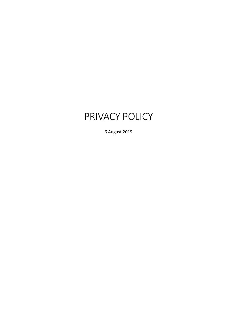# PRIVACY POLICY

6 August 2019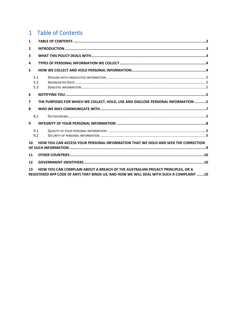# <span id="page-1-0"></span>1 Table of Contents

| 1                                                                                       |                                                                                                                                                                             |  |  |
|-----------------------------------------------------------------------------------------|-----------------------------------------------------------------------------------------------------------------------------------------------------------------------------|--|--|
| $\mathbf{2}$                                                                            |                                                                                                                                                                             |  |  |
| 3                                                                                       |                                                                                                                                                                             |  |  |
| 4                                                                                       |                                                                                                                                                                             |  |  |
| 5                                                                                       |                                                                                                                                                                             |  |  |
|                                                                                         | 5.1<br>5.2<br>5.3                                                                                                                                                           |  |  |
| 6                                                                                       |                                                                                                                                                                             |  |  |
| 7                                                                                       | THE PURPOSES FOR WHICH WE COLLECT, HOLD, USE AND DISCLOSE PERSONAL INFORMATION 5                                                                                            |  |  |
| 8                                                                                       |                                                                                                                                                                             |  |  |
|                                                                                         | 8.1                                                                                                                                                                         |  |  |
| 9                                                                                       |                                                                                                                                                                             |  |  |
|                                                                                         | 9.1<br>9.2                                                                                                                                                                  |  |  |
| HOW YOU CAN ACCESS YOUR PERSONAL INFORMATION THAT WE HOLD AND SEEK THE CORRECTION<br>10 |                                                                                                                                                                             |  |  |
| 11                                                                                      |                                                                                                                                                                             |  |  |
| 12                                                                                      |                                                                                                                                                                             |  |  |
| 13                                                                                      | HOW YOU CAN COMPLAIN ABOUT A BREACH OF THE AUSTRALIAN PRIVACY PRINCIPLES, OR A<br>REGISTERED APP CODE (IF ANY) THAT BINDS US, AND HOW WE WILL DEAL WITH SUCH A COMPLAINT 10 |  |  |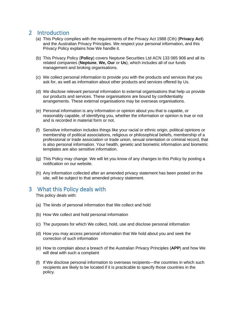## <span id="page-2-0"></span>2 Introduction

- (a) This Policy complies with the requirements of the Privacy Act 1988 (Cth) (**Privacy Act**) and the Australian Privacy Principles. We respect your personal information, and this Privacy Policy explains how We handle it.
- (b) This Privacy Policy (**Policy**) covers Neptune Securities Ltd ACN 133 085 908 and all its related companies (**Neptune**, **We, Our** or **Us**), which includes all of our funds management and broking organisations.
- (c) We collect personal information to provide you with the products and services that you ask for, as well as information about other products and services offered by Us.
- (d) We disclose relevant personal information to external organisations that help us provide our products and services. These organisations are bound by confidentiality arrangements. These external organisations may be overseas organisations.
- (e) Personal information is any information or opinion about you that is capable, or reasonably capable, of identifying you, whether the information or opinion is true or not and is recorded in material form or not.
- (f) Sensitive information includes things like your racial or ethnic origin, political opinions or membership of political associations, religious or philosophical beliefs, membership of a professional or trade association or trade union, sexual orientation or criminal record, that is also personal information. Your health, genetic and biometric information and biometric templates are also sensitive information.
- (g) This Policy may change. We will let you know of any changes to this Policy by posting a notification on our website.
- (h) Any information collected after an amended privacy statement has been posted on the site, will be subject to that amended privacy statement.

### <span id="page-2-1"></span>3 What this Policy deals with

This policy deals with:

- (a) The kinds of personal information that We collect and hold
- (b) How We collect and hold personal information
- (c) The purposes for which We collect, hold, use and disclose personal information
- (d) How you may access personal information that We hold about you and seek the correction of such information
- (e) How to complain about a breach of the Australian Privacy Principles (**APP**) and how We will deal with such a complaint
- (f) If We disclose personal information to overseas recipients—the countries in which such recipients are likely to be located if it is practicable to specify those countries in the policy.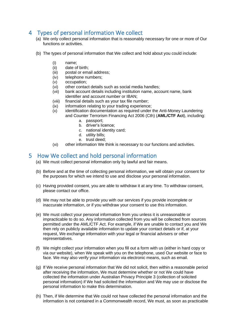# <span id="page-3-0"></span>4 Types of personal information We collect

- (a) We only collect personal information that is reasonably necessary for one or more of Our functions or activities.
- (b) The types of personal information that We collect and hold about you could include:
	- (i) name;
	- (ii) date of birth;
	- (iii) postal or email address;
	- (iv) telephone numbers;
	- (v) occupation;
	- (vi) other contact details such as social media handles;
	- (vii) bank account details including institution name, account name, bank identifier and account number or IBAN;
	- (viii) financial details such as your tax file number;
	- (ix) information relating to your trading experience;
	- (x) identification documentation as required under the Anti-Money Laundering and Counter Terrorism Financing Act 2006 (Cth) (**AML/CTF Act**), including:
		- a. passport;
		- b. driver's licence;
		- c. national identity card;
		- d. utility bills;
		- e. trust deed;
	- (xi) other information We think is necessary to our functions and activities.

# <span id="page-3-1"></span>5 How We collect and hold personal information

- (a) We must collect personal information only by lawful and fair means.
- (b) Before and at the time of collecting personal information, we will obtain your consent for the purposes for which we intend to use and disclose your personal information.
- (c) Having provided consent, you are able to withdraw it at any time. To withdraw consent, please contact our office.
- (d) We may not be able to provide you with our services if you provide incomplete or inaccurate information, or if you withdraw your consent to use this information.
- (e) We must collect your personal information from you unless it is unreasonable or impracticable to do so. Any information collected from you will be collected from sources permitted under the AML/CTF Act. For example, if We are unable to contact you and We then rely on publicly available information to update your contact details or if, at your request, We exchange information with your legal or financial advisers or other representatives.
- (f) We might collect your information when you fill out a form with us (either in hard copy or via our website), when We speak with you on the telephone, used Our website or face to face. We may also verify your information via electronic means, such as email.
- (g) If We receive personal information that We did not solicit, then within a reasonable period after receiving the information, We must determine whether or not We could have collected the information under Australian Privacy Principle 3 (collection of solicited personal information) if We had solicited the information and We may use or disclose the personal information to make this determination.
- (h) Then, if We determine that We could not have collected the personal information and the information is not contained in a Commonwealth record, We must, as soon as practicable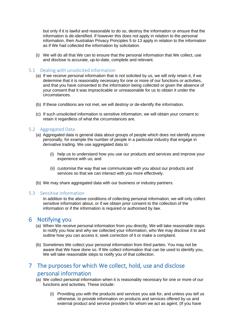but only if it is lawful and reasonable to do so, destroy the information or ensure that the information is de-identified. If however this does not apply in relation to the personal information, then Australian Privacy Principles 5 to 13 apply in relation to the information as if We had collected the information by solicitation.

(i) We will do all that We can to ensure that the personal information that We collect, use and disclose is accurate, up-to-date, complete and relevant.

#### <span id="page-4-0"></span>5.1 Dealing with unsolicited information

- (a) If we receive personal information that is not solicited by us, we will only retain it, if we determine that it is reasonably necessary for one or more of our functions or activities, and that you have consented to the information being collected or given the absence of your consent that it was impracticable or unreasonable for us to obtain it under the circumstances.
- (b) If these conditions are not met, we will destroy or de-identify the information.
- (c) If such unsolicited information is sensitive information, we will obtain your consent to retain it regardless of what the circumstances are.

#### <span id="page-4-1"></span>5.2 Aggregated Data

- (a) Aggregated data is general data about groups of people which does not identify anyone personally, for example the number of people in a particular industry that engage in derivative trading. We use aggregated data to:
	- (i) help us to understand how you use our products and services and improve your experience with us; and
	- (ii) customise the way that we communicate with you about our products and services so that we can interact with you more effectively.
- (b) We may share aggregated data with our business or industry partners.

#### <span id="page-4-2"></span>5.3 Sensitive information

In addition to the above conditions of collecting personal information, we will only collect sensitive information about, or if we obtain prior consent to the collection of the information or if the information is required or authorised by law.

### <span id="page-4-3"></span>6 Notifying you

- (a) When We receive personal information from you directly, We will take reasonable steps to notify you how and why we collected your information, who We may disclose it to and outline how you can access it, seek correction of it or make a complaint.
- (b) Sometimes We collect your personal information from third parties. You may not be aware that We have done so. If We collect information that can be used to identify you, We will take reasonable steps to notify you of that collection.

# <span id="page-4-4"></span>7 The purposes for which We collect, hold, use and disclose personal information

- (a) We collect personal information when it is reasonably necessary for one or more of our functions and activities. These include:
	- (i) Providing you with the products and services you ask for, and unless you tell us otherwise, to provide information on products and services offered by us and external product and service providers for whom we act as agent. (If you have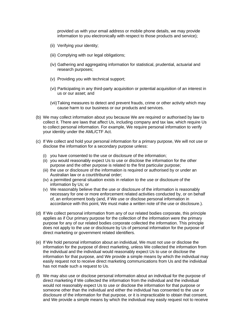provided us with your email address or mobile phone details, we may provide information to you electronically with respect to those products and service);

- (ii) Verifying your identity;
- (iii) Complying with our legal obligations;
- (iv) Gathering and aggregating information for statistical, prudential, actuarial and research purposes;
- (v) Providing you with technical support;
- (vi) Participating in any third-party acquisition or potential acquisition of an interest in us or our asset; and
- (vii)Taking measures to detect and prevent frauds, crime or other activity which may cause harm to our business or our products and services.
- (b) We may collect information about you because We are required or authorised by law to collect it. There are laws that affect Us, including company and tax law, which require Us to collect personal information. For example, We require personal information to verify your identity under the AML/CTF Act.
- (c) If We collect and hold your personal information for a primary purpose, We will not use or disclose the information for a secondary purpose unless:
	- (i) you have consented to the use or disclosure of the information;
	- (ii) you would reasonably expect Us to use or disclose the information for the other purpose and the other purpose is related to the first particular purpose;
	- (iii) the use or disclosure of the information is required or authorised by or under an Australian law or a court/tribunal order;
	- (iv) a permitted general situation exists in relation to the use or disclosure of the information by Us; or
	- (v) We reasonably believe that the use or disclosure of the information is reasonably necessary for one or more enforcement related activities conducted by, or on behalf of, an enforcement body (and, if We use or disclose personal information in accordance with this point, We must make a written note of the use or disclosure.).
- (d) If We collect personal information from any of our related bodies corporate, this principle applies as if Our primary purpose for the collection of the information were the primary purpose for any of our related bodies corporate collected the information. This principle does not apply to the use or disclosure by Us of personal information for the purpose of direct marketing or government related identifiers.
- (e) If We hold personal information about an individual, We must not use or disclose the information for the purpose of direct marketing, unless We collected the information from the individual and the individual would reasonably expect Us to use or disclose the information for that purpose, and We provide a simple means by which the individual may easily request not to receive direct marketing communications from Us and the individual has not made such a request to Us.
- (f) We may also use or disclose personal information about an individual for the purpose of direct marketing if We collected the information from the individual and the individual would not reasonably expect Us to use or disclose the information for that purpose or someone other than the individual and either the individual has consented to the use or disclosure of the information for that purpose, or it is impracticable to obtain that consent, and We provide a simple means by which the individual may easily request not to receive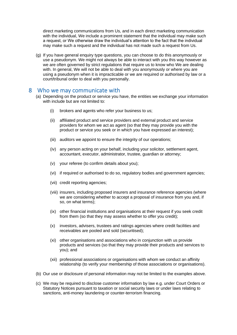direct marketing communications from Us, and in each direct marketing communication with the individual, We include a prominent statement that the individual may make such a request, or We otherwise draw the individual's attention to the fact that the individual may make such a request and the individual has not made such a request from Us.

(g) If you have general enquiry type questions, you can choose to do this anonymously or use a pseudonym. We might not always be able to interact with you this way however as we are often governed by strict regulations that require us to know who We are dealing with. In general, We will not be able to deal with you anonymously or where you are using a pseudonym when it is impracticable or we are required or authorised by law or a court/tribunal order to deal with you personally.

### <span id="page-6-0"></span>8 Who we may communicate with

- (a) Depending on the product or service you have, the entities we exchange your information with include but are not limited to:
	- (i) brokers and agents who refer your business to us;
	- (ii) affiliated product and service providers and external product and service providers for whom we act as agent (so that they may provide you with the product or service you seek or in which you have expressed an interest);
	- (iii) auditors we appoint to ensure the integrity of our operations;
	- (iv) any person acting on your behalf, including your solicitor, settlement agent, accountant, executor, administrator, trustee, guardian or attorney;
	- (v) your referee (to confirm details about you);
	- (vi) if required or authorised to do so, regulatory bodies and government agencies;
	- (vii) credit reporting agencies;
	- (viii) insurers, including proposed insurers and insurance reference agencies (where we are considering whether to accept a proposal of insurance from you and, if so, on what terms);
	- (ix) other financial institutions and organisations at their request if you seek credit from them (so that they may assess whether to offer you credit);
	- (x) investors, advisers, trustees and ratings agencies where credit facilities and receivables are pooled and sold (securitised);
	- (xi) other organisations and associations who in conjunction with us provide products and services (so that they may provide their products and services to you); and
	- (xii) professional associations or organisations with whom we conduct an affinity relationship (to verify your membership of those associations or organisations).
- (b) Our use or disclosure of personal information may not be limited to the examples above.
- (c) We may be required to disclose customer information by law e.g. under Court Orders or Statutory Notices pursuant to taxation or social security laws or under laws relating to sanctions, anti-money laundering or counter-terrorism financing.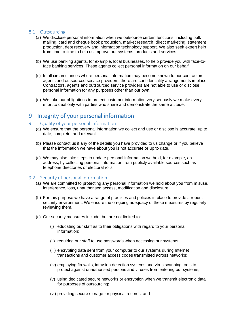#### <span id="page-7-0"></span>8.1 Outsourcing

- (a) We disclose personal information when we outsource certain functions, including bulk mailing, card and cheque book production, market research, direct marketing, statement production, debt recovery and information technology support. We also seek expert help from time to time to help us improve our systems, products and services.
- (b) We use banking agents, for example, local businesses, to help provide you with face-toface banking services. These agents collect personal information on our behalf.
- (c) In all circumstances where personal information may become known to our contractors, agents and outsourced service providers, there are confidentiality arrangements in place. Contractors, agents and outsourced service providers are not able to use or disclose personal information for any purposes other than our own.
- (d) We take our obligations to protect customer information very seriously we make every effort to deal only with parties who share and demonstrate the same attitude.

### <span id="page-7-1"></span>9 Integrity of your personal information

#### <span id="page-7-2"></span>9.1 Quality of your personal information

- (a) We ensure that the personal information we collect and use or disclose is accurate, up to date, complete, and relevant.
- (b) Please contact us if any of the details you have provided to us change or if you believe that the information we have about you is not accurate or up to date.
- (c) We may also take steps to update personal information we hold, for example, an address, by collecting personal information from publicly available sources such as telephone directories or electoral rolls.

#### <span id="page-7-3"></span>9.2 Security of personal information

- (a) We are committed to protecting any personal information we hold about you from misuse, interference, loss, unauthorised access, modification and disclosure.
- (b) For this purpose we have a range of practices and policies in place to provide a robust security environment. We ensure the on-going adequacy of these measures by regularly reviewing them.
- (c) Our security measures include, but are not limited to:
	- (i) educating our staff as to their obligations with regard to your personal information;
	- (ii) requiring our staff to use passwords when accessing our systems;
	- (iii) encrypting data sent from your computer to our systems during Internet transactions and customer access codes transmitted across networks;
	- (iv) employing firewalls, intrusion detection systems and virus scanning tools to protect against unauthorised persons and viruses from entering our systems;
	- (v) using dedicated secure networks or encryption when we transmit electronic data for purposes of outsourcing;
	- (vi) providing secure storage for physical records; and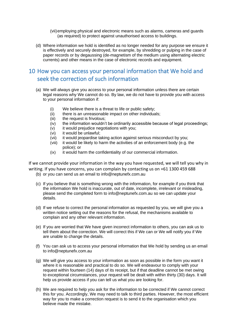- (vii)employing physical and electronic means such as alarms, cameras and guards (as required) to protect against unauthorised access to buildings.
- (d) Where information we hold is identified as no longer needed for any purpose we ensure it is effectively and securely destroyed, for example, by shredding or pulping in the case of paper records or by degaussing (de-magnetism of the medium using alternating electric currents) and other means in the case of electronic records and equipment.

# <span id="page-8-0"></span>10 How you can access your personal information that We hold and seek the correction of such information

- (a) We will always give you access to your personal information unless there are certain legal reasons why We cannot do so. By law, we do not have to provide you with access to your personal information if:
	- (i) We believe there is a threat to life or public safety;
	- (ii) there is an unreasonable impact on other individuals;
	- (iii) the request is frivolous;
	- (iv) the information wouldn't be ordinarily accessible because of legal proceedings;
	- (v) it would prejudice negotiations with you;
	- (vi) it would be unlawful;
	- (vii) it would jeopardise taking action against serious misconduct by you;<br>(viii) it would be likely to harm the activities of an enforcement body (e.g. t
	- it would be likely to harm the activities of an enforcement body (e.g. the police); or
	- (ix) it would harm the confidentiality of our commercial information.

If we cannot provide your information in the way you have requested, we will tell you why in writing. If you have concerns, you can complain by contacting us on +61 1300 459 688

- (b) or you can send us an email to info@neptunefx.com.au
- (c) If you believe that is something wrong with the information, for example if you think that the information We hold is inaccurate, out of date, incomplete, irrelevant or misleading, please send the completed form to info@neptunefx.com.au so we can update your details.
- (d) If we refuse to correct the personal information as requested by you, we will give you a written notice setting out the reasons for the refusal, the mechanisms available to complain and any other relevant information.
- (e) If you are worried that We have given incorrect information to others, you can ask us to tell them about the correction. We will correct this if We can or We will notify you if We are unable to change the details.
- (f) You can ask us to access your personal information that We hold by sending us an email to info@neptunefx.com.au
- (g) We will give you access to your information as soon as possible in the form you want it where it is reasonable and practical to do so. We will endeavour to comply with your request within fourteen (14) days of its receipt, but if that deadline cannot be met owing to exceptional circumstances, your request will be dealt with within thirty (30) days. It will help us provide access if you can tell us what you are looking for.
- (h) We are required to help you ask for the information to be corrected if We cannot correct this for you. Accordingly, We may need to talk to third parties. However, the most efficient way for you to make a correction request is to send it to the organisation which you believe made the mistake.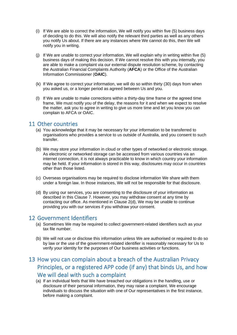- (i) If We are able to correct the information, We will notify you within five (5) business days of deciding to do this. We will also notify the relevant third parties as well as any others you notify Us about. If there are any instances where We cannot do this, then We will notify you in writing.
- (j) If We are unable to correct your information, We will explain why in writing within five (5) business days of making this decision. If We cannot resolve this with you internally, you are able to make a complaint via our external dispute resolution scheme, by contacting the Australian Financial Complaints Authority (**AFCA**) or the Office of the Australian Information Commissioner (**OAIC**).
- (k) If We agree to correct your information, we will do so within thirty (30) days from when you asked us, or a longer period as agreed between Us and you.
- (l) If We are unable to make corrections within a thirty-day time frame or the agreed time frame, We must notify you of the delay, the reasons for it and when we expect to resolve the matter, ask you to agree in writing to give us more time and let you know you can complain to AFCA or OAIC.

### <span id="page-9-0"></span>11 Other countries

- (a) You acknowledge that it may be necessary for your information to be transferred to organisations who provides a service to us outside of Australia, and you consent to such transfer.
- (b) We may store your information in cloud or other types of networked or electronic storage. As electronic or networked storage can be accessed from various countries via an internet connection, it is not always practicable to know in which country your information may be held. If your information is stored in this way, disclosures may occur in countries other than those listed.
- (c) Overseas organisations may be required to disclose information We share with them under a foreign law. In those instances, We will not be responsible for that disclosure.
- (d) By using our services, you are consenting to the disclosure of your information as described in this Clause 7. However, you may withdraw consent at any time by contacting our office. As mentioned in Clause 2(d), We may be unable to continue providing you with our services if you withdraw your consent.

### <span id="page-9-1"></span>12 Government Identifiers

- (a) Sometimes We may be required to collect government-related identifiers such as your tax file number.
- (b) We will not use or disclose this information unless We are authorised or required to do so by law or the use of the government-related identifier is reasonably necessary for Us to verify your identity for the purposes of Our business activities or functions.

# <span id="page-9-2"></span>13 How you can complain about a breach of the Australian Privacy Principles, or a registered APP code (if any) that binds Us, and how We will deal with such a complaint

(a) If an individual feels that We have breached our obligations in the handling, use or disclosure of their personal information, they may raise a complaint. We encourage individuals to discuss the situation with one of Our representatives in the first instance, before making a complaint.